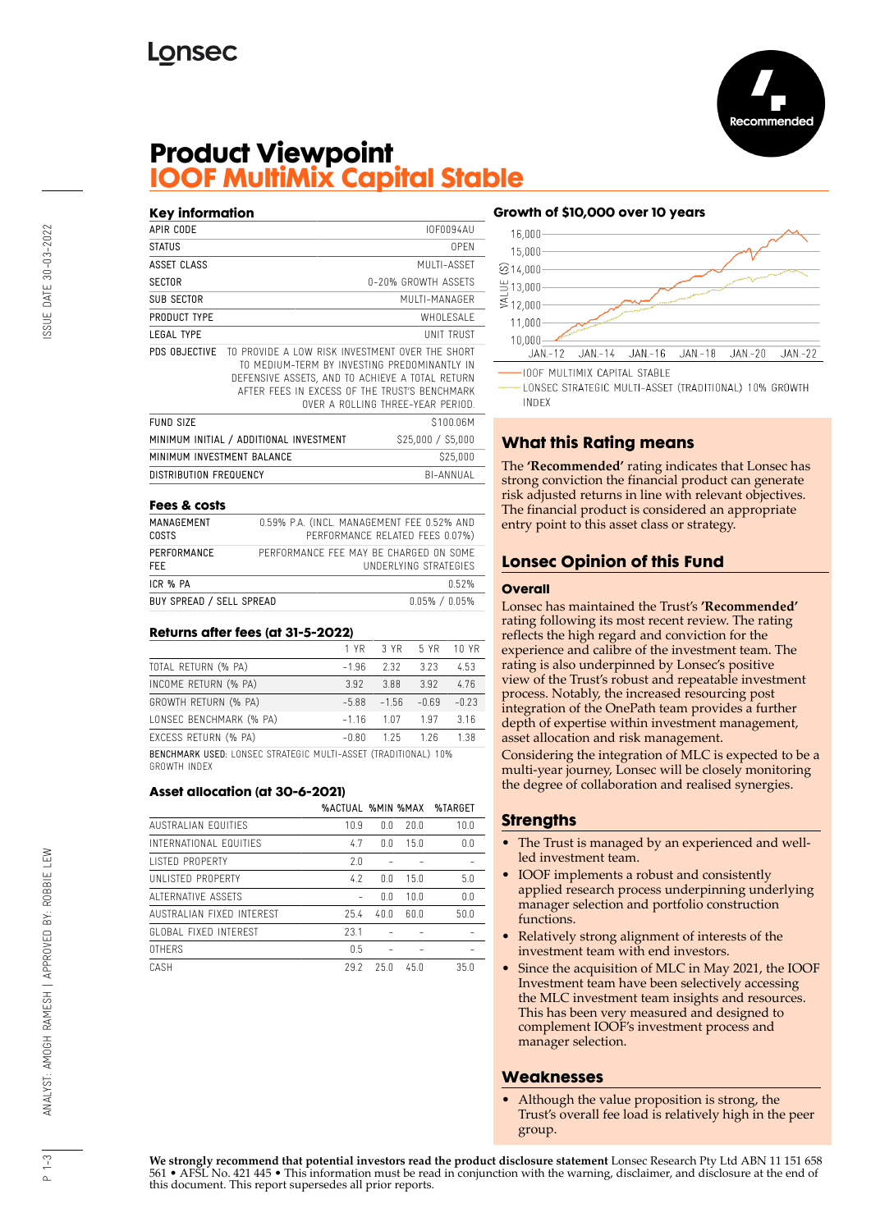

# **Product Viewpoint IOOF MultiMix Capital Stable**

| <b>Key information</b>     |                                                 |                                                                                                                                                                                       |
|----------------------------|-------------------------------------------------|---------------------------------------------------------------------------------------------------------------------------------------------------------------------------------------|
| APIR CODE                  |                                                 | <b>IOF0094AU</b>                                                                                                                                                                      |
| STATUS                     |                                                 | 0PFN                                                                                                                                                                                  |
| ASSET CLASS                |                                                 | MUITI-ASSFT                                                                                                                                                                           |
| <b>SECTOR</b>              |                                                 | 0-20% GROWTH ASSFTS                                                                                                                                                                   |
| SUB SECTOR                 |                                                 | MUITI-MANAGER                                                                                                                                                                         |
| PRODUCT TYPE               |                                                 | WHOI FSAI F                                                                                                                                                                           |
| <b>LEGAL TYPE</b>          |                                                 | UNIT TRUST                                                                                                                                                                            |
| PDS OBJECTIVE              | TO PROVIDE A LOW RISK INVESTMENT OVER THE SHORT | TO MEDIUM-TERM BY INVESTING PREDOMINANTLY IN<br>DEFENSIVE ASSETS, AND TO ACHIEVE A TOTAL RETURN<br>AFTER FFFS IN EXCESS OF THE TRUST'S BENCHMARK<br>OVER A ROLLING THREE-YEAR PERIOD. |
| FUND SIZE                  |                                                 | \$100.06M                                                                                                                                                                             |
|                            | MINIMUM INITIAL / ADDITIONAL INVESTMENT         | \$25,000 / \$5,000                                                                                                                                                                    |
| MINIMUM INVESTMENT BALANCE |                                                 | \$25,000                                                                                                                                                                              |
| DISTRIBUTION FREQUENCY     |                                                 | BI-ANNUAI                                                                                                                                                                             |

#### **Fees & costs**

| MANAGEMENT               | 0.59% P.A. (INCL. MANAGEMENT FEE 0.52% AND |
|--------------------------|--------------------------------------------|
| <b>COSTS</b>             | PERFORMANCE RELATED FEES 0.07%)            |
| PERFORMANCE              | PERFORMANCE FFF MAY BE CHARGED ON SOME     |
| FFF.                     | UNDERLYING STRATEGIES                      |
| ICR % PA                 | n 52%                                      |
| BUY SPREAD / SELL SPREAD | $0.05\%$ / $0.05\%$                        |

#### **Returns after fees (at 31-5-2022)**

|                                                                       | 1 YR 1  |         | 3 YR 5 YR | 10 YR   |
|-----------------------------------------------------------------------|---------|---------|-----------|---------|
| TOTAL RETURN (% PA)                                                   | $-1.96$ | 2.32    | 3.23      | 4.53    |
| INCOME RETURN (% PA)                                                  | 3.92    | 3.88    | 3.92      | 4.76    |
| GROWTH RETURN (% PA)                                                  | $-5.88$ | $-1.56$ | $-0.69$   | $-0.23$ |
| LONSEC BENCHMARK (% PA)                                               | $-116$  | 1.07    | 1.97      | 316     |
| EXCESS RETURN (% PA)                                                  | $-0.80$ | 1.25    | 126       | 1.38    |
| <b>BENCHMARK USED: LONSEC STRATEGIC MULTI-ASSET (TRADITIONAL) 10%</b> |         |         |           |         |

GROWTH INDEX

### **Asset allocation (at 30-6-2021)**

|                           | %ACTUAL %MIN %MAX |      |      | %TARGET |
|---------------------------|-------------------|------|------|---------|
| AUSTRALIAN EQUITIES       | 10.9              | ΛN   | 20.0 | 10.0    |
| INTERNATIONAL FOUITIES    | 4.7               | ΛN   | 15.0 | 0.0     |
| <b>LISTED PROPERTY</b>    | 2.0               |      |      |         |
| UNI ISTED PROPERTY        | 4.2               | ΛN   | 150  | 5.0     |
| AI TERNATIVE ASSETS       |                   | 0.0  | 100  | 0.0     |
| AUSTRALIAN FIXED INTEREST | 25.4              | 40.0 | 60.0 | 50.0    |
| GLOBAL FIXED INTEREST     | 23.1              |      |      |         |
| <b>OTHERS</b>             | 0.5               |      |      |         |
| CASH                      | 29.2              | 25.0 | 45 N | 35.0    |

### **Growth of \$10,000 over 10 years**



LONSEC STRATEGIC MULTI-ASSET (TRADITIONAL) 10% GROWTH **INDEX** 

# **What this Rating means**

The **'Recommended'** rating indicates that Lonsec has strong conviction the financial product can generate risk adjusted returns in line with relevant objectives. The financial product is considered an appropriate entry point to this asset class or strategy.

# **Lonsec Opinion of this Fund**

#### **Overall**

Lonsec has maintained the Trust's **'Recommended'** rating following its most recent review. The rating reflects the high regard and conviction for the experience and calibre of the investment team. The rating is also underpinned by Lonsec's positive view of the Trust's robust and repeatable investment process. Notably, the increased resourcing post integration of the OnePath team provides a further depth of expertise within investment management, asset allocation and risk management.

Considering the integration of MLC is expected to be a multi-year journey, Lonsec will be closely monitoring the degree of collaboration and realised synergies.

## **Strengths**

- The Trust is managed by an experienced and wellled investment team.
- IOOF implements a robust and consistently applied research process underpinning underlying manager selection and portfolio construction functions.
- Relatively strong alignment of interests of the investment team with end investors.
- Since the acquisition of MLC in May 2021, the IOOF Investment team have been selectively accessing the MLC investment team insights and resources. This has been very measured and designed to complement IOOF's investment process and manager selection.

### **Weaknesses**

• Although the value proposition is strong, the Trust's overall fee load is relatively high in the peer group.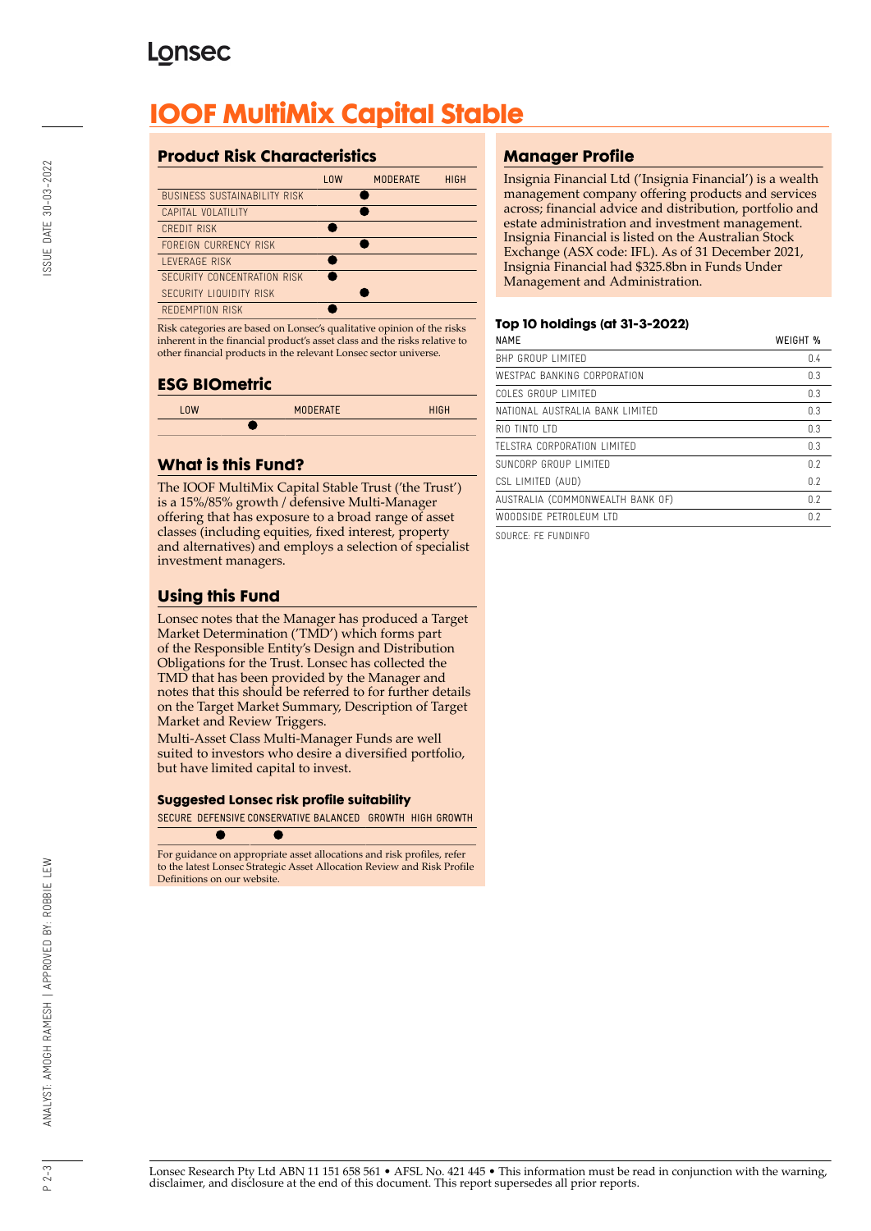# **Lonsec**

# **IOOF MultiMix Capital Stable**

# **Product Risk Characteristics**

| 10W | <b>MODERATE</b> | <b>HIGH</b> |
|-----|-----------------|-------------|
|     |                 |             |
|     |                 |             |
|     |                 |             |
|     |                 |             |
|     |                 |             |
|     |                 |             |
|     |                 |             |
|     |                 |             |
|     |                 |             |

Risk categories are based on Lonsec's qualitative opinion of the risks inherent in the financial product's asset class and the risks relative to other financial products in the relevant Lonsec sector universe.

## **ESG BIOmetric**

| 10W | <b>MODERATE</b> | <b>HIGH</b> |
|-----|-----------------|-------------|
|     |                 |             |

# **What is this Fund?**

The IOOF MultiMix Capital Stable Trust ('the Trust') is a 15%/85% growth / defensive Multi-Manager offering that has exposure to a broad range of asset classes (including equities, fixed interest, property and alternatives) and employs a selection of specialist investment managers.

# **Using this Fund**

Lonsec notes that the Manager has produced a Target Market Determination ('TMD') which forms part of the Responsible Entity's Design and Distribution Obligations for the Trust. Lonsec has collected the TMD that has been provided by the Manager and notes that this should be referred to for further details on the Target Market Summary, Description of Target Market and Review Triggers.

Multi-Asset Class Multi-Manager Funds are well suited to investors who desire a diversified portfolio, but have limited capital to invest.

### **Suggested Lonsec risk profile suitability**

SECURE DEFENSIVE CONSERVATIVE BALANCED GROWTH HIGH GROWTH

For guidance on appropriate asset allocations and risk profiles, refer to the latest Lonsec Strategic Asset Allocation Review and Risk Profile Definitions on our website.

# **Manager Profile**

Insignia Financial Ltd ('Insignia Financial') is a wealth management company offering products and services across; financial advice and distribution, portfolio and estate administration and investment management. Insignia Financial is listed on the Australian Stock Exchange (ASX code: IFL). As of 31 December 2021, Insignia Financial had \$325.8bn in Funds Under Management and Administration.

### **Top 10 holdings (at 31-3-2022)**

| <b>NAMF</b>                      | WEIGHT % |
|----------------------------------|----------|
| BHP GROUP LIMITED                | 0.4      |
| WESTPAC BANKING CORPORATION      | 0.3      |
| COLES GROUP LIMITED              | 0.3      |
| NATIONAL AUSTRALIA BANK LIMITED  | 0.3      |
| RIO TINTO ITD                    | 0.3      |
| TELSTRA CORPORATION LIMITED      | 0.3      |
| SUNCORP GROUP LIMITED            | 0.2      |
| CSL LIMITED (AUD)                | 0.2      |
| AUSTRALIA (COMMONWEALTH BANK OF) | 0.2      |
| WOODSIDE PETROI FUM LTD          | 0.2      |
|                                  |          |

SOURCE: FE FUNDINFO